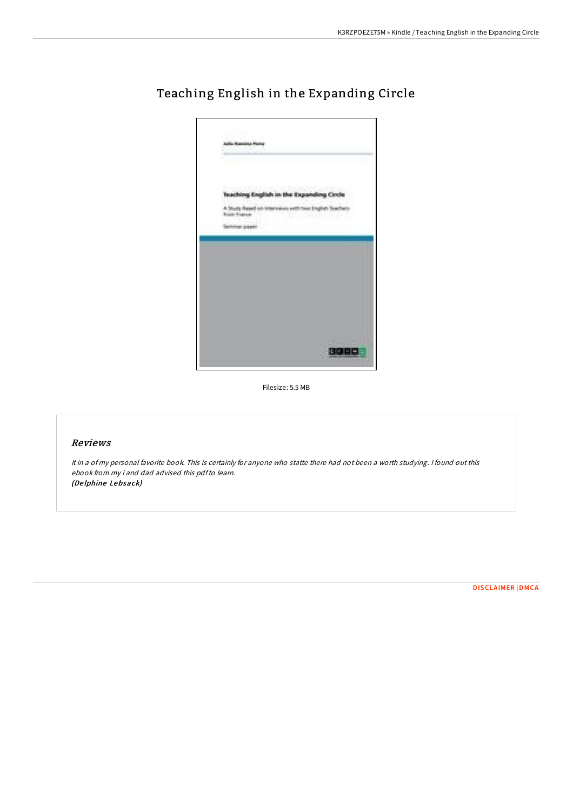

# Teaching English in the Expanding Circle

Filesize: 5.5 MB

## Reviews

It in <sup>a</sup> of my personal favorite book. This is certainly for anyone who statte there had not been <sup>a</sup> worth studying. <sup>I</sup> found out this ebook from my i and dad advised this pdfto learn. (De lphine Lebsack)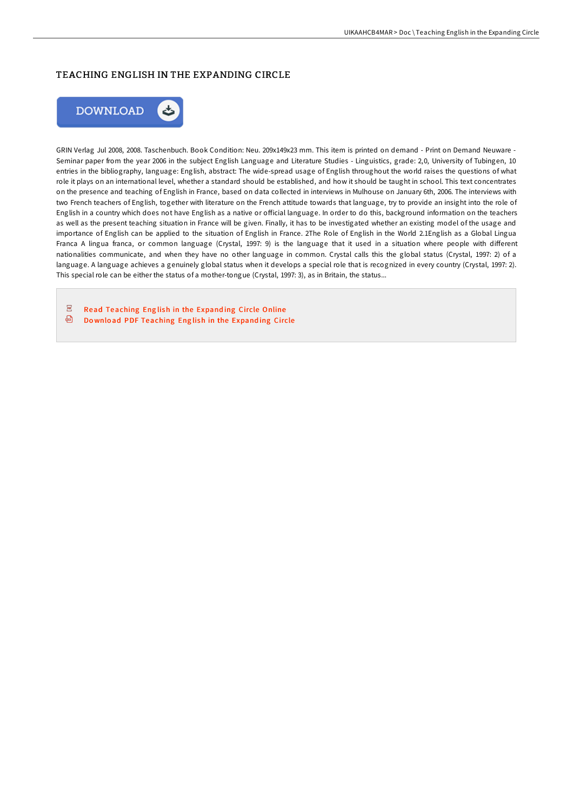### TEACHING ENGLISH IN THE EXPANDING CIRCLE



GRIN Verlag Jul 2008, 2008. Taschenbuch. Book Condition: Neu. 209x149x23 mm. This item is printed on demand - Print on Demand Neuware - Seminar paper from the year 2006 in the subject English Language and Literature Studies - Linguistics, grade: 2,0, University of Tubingen, 10 entries in the bibliography, language: English, abstract: The wide-spread usage of English throughout the world raises the questions of what role it plays on an international level, whether a standard should be established, and how it should be taught in school. This text concentrates on the presence and teaching of English in France, based on data collected in interviews in Mulhouse on January 6th, 2006. The interviews with two French teachers of English, together with literature on the French attitude towards that language, try to provide an insight into the role of English in a country which does not have English as a native or official language. In order to do this, background information on the teachers as well as the present teaching situation in France will be given. Finally, it has to be investigated whether an existing model of the usage and importance of English can be applied to the situation of English in France. 2The Role of English in the World 2.1English as a Global Lingua Franca A lingua franca, or common language (Crystal, 1997: 9) is the language that it used in a situation where people with different nationalities communicate, and when they have no other language in common. Crystal calls this the global status (Crystal, 1997: 2) of a language. A language achieves a genuinely global status when it develops a special role that is recognized in every country (Crystal, 1997: 2). This special role can be either the status of a mother-tongue (Crystal, 1997: 3), as in Britain, the status...

 $\overline{\mathbf{P}^{\mathbf{p}}}$ Read [Teaching](http://almighty24.tech/teaching-english-in-the-expanding-circle.html) Eng lish in the Expand ing Circle Online  $\bigoplus$ Do wnlo ad PDF [Teaching](http://almighty24.tech/teaching-english-in-the-expanding-circle.html) Eng lish in the Expand ing Circle